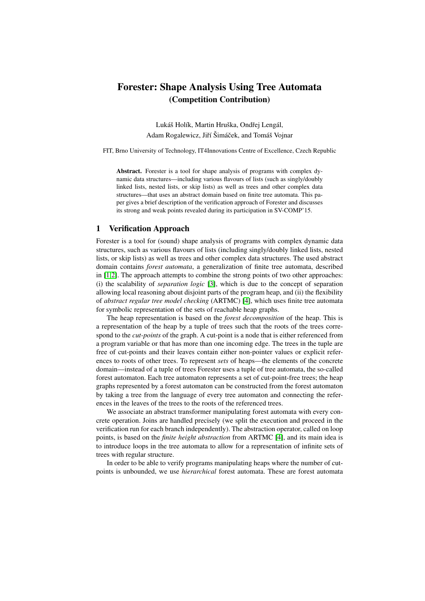# Forester: Shape Analysis Using Tree Automata (Competition Contribution)

Lukáš Holík, Martin Hruška, Ondřej Lengál, Adam Rogalewicz, Jiří Šimáček, and Tomáš Vojnar

FIT, Brno University of Technology, IT4Innovations Centre of Excellence, Czech Republic

Abstract. Forester is a tool for shape analysis of programs with complex dynamic data structures—including various flavours of lists (such as singly/doubly linked lists, nested lists, or skip lists) as well as trees and other complex data structures—that uses an abstract domain based on finite tree automata. This paper gives a brief description of the verification approach of Forester and discusses its strong and weak points revealed during its participation in SV-COMP'15.

## 1 Verification Approach

Forester is a tool for (sound) shape analysis of programs with complex dynamic data structures, such as various flavours of lists (including singly/doubly linked lists, nested lists, or skip lists) as well as trees and other complex data structures. The used abstract domain contains *forest automata*, a generalization of finite tree automata, described in [\[1,](#page-2-0)[2\]](#page-2-1). The approach attempts to combine the strong points of two other approaches: (i) the scalability of *separation logic* [\[3\]](#page-2-2), which is due to the concept of separation allowing local reasoning about disjoint parts of the program heap, and (ii) the flexibility of *abstract regular tree model checking* (ARTMC) [\[4\]](#page-2-3), which uses finite tree automata for symbolic representation of the sets of reachable heap graphs.

The heap representation is based on the *forest decomposition* of the heap. This is a representation of the heap by a tuple of trees such that the roots of the trees correspond to the *cut-points* of the graph. A cut-point is a node that is either referenced from a program variable or that has more than one incoming edge. The trees in the tuple are free of cut-points and their leaves contain either non-pointer values or explicit references to roots of other trees. To represent *sets* of heaps—the elements of the concrete domain—instead of a tuple of trees Forester uses a tuple of tree automata, the so-called forest automaton. Each tree automaton represents a set of cut-point-free trees; the heap graphs represented by a forest automaton can be constructed from the forest automaton by taking a tree from the language of every tree automaton and connecting the references in the leaves of the trees to the roots of the referenced trees.

We associate an abstract transformer manipulating forest automata with every concrete operation. Joins are handled precisely (we split the execution and proceed in the verification run for each branch independently). The abstraction operator, called on loop points, is based on the *finite height abstraction* from ARTMC [\[4\]](#page-2-3), and its main idea is to introduce loops in the tree automata to allow for a representation of infinite sets of trees with regular structure.

In order to be able to verify programs manipulating heaps where the number of cutpoints is unbounded, we use *hierarchical* forest automata. These are forest automata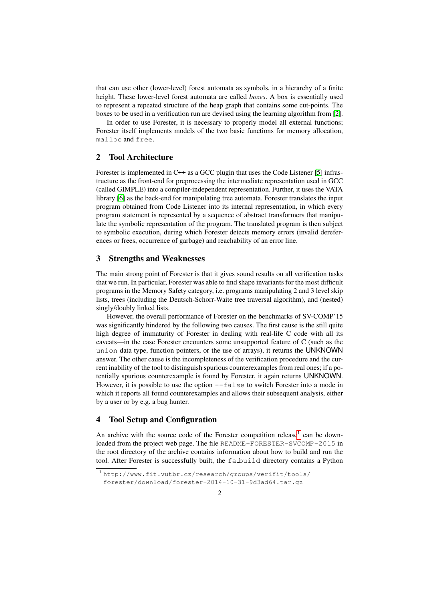that can use other (lower-level) forest automata as symbols, in a hierarchy of a finite height. These lower-level forest automata are called *boxes*. A box is essentially used to represent a repeated structure of the heap graph that contains some cut-points. The boxes to be used in a verification run are devised using the learning algorithm from [\[2\]](#page-2-1).

In order to use Forester, it is necessary to properly model all external functions; Forester itself implements models of the two basic functions for memory allocation, malloc and free.

## 2 Tool Architecture

Forester is implemented in C++ as a GCC plugin that uses the Code Listener [\[5\]](#page-2-4) infrastructure as the front-end for preprocessing the intermediate representation used in GCC (called GIMPLE) into a compiler-independent representation. Further, it uses the VATA library [\[6\]](#page-2-5) as the back-end for manipulating tree automata. Forester translates the input program obtained from Code Listener into its internal representation, in which every program statement is represented by a sequence of abstract transformers that manipulate the symbolic representation of the program. The translated program is then subject to symbolic execution, during which Forester detects memory errors (invalid dereferences or frees, occurrence of garbage) and reachability of an error line.

#### 3 Strengths and Weaknesses

The main strong point of Forester is that it gives sound results on all verification tasks that we run. In particular, Forester was able to find shape invariants for the most difficult programs in the Memory Safety category, i.e. programs manipulating 2 and 3 level skip lists, trees (including the Deutsch-Schorr-Waite tree traversal algorithm), and (nested) singly/doubly linked lists.

However, the overall performance of Forester on the benchmarks of SV-COMP'15 was significantly hindered by the following two causes. The first cause is the still quite high degree of immaturity of Forester in dealing with real-life C code with all its caveats—in the case Forester encounters some unsupported feature of C (such as the union data type, function pointers, or the use of arrays), it returns the UNKNOWN answer. The other cause is the incompleteness of the verification procedure and the current inability of the tool to distinguish spurious counterexamples from real ones; if a potentially spurious counterexample is found by Forester, it again returns UNKNOWN. However, it is possible to use the option --false to switch Forester into a mode in which it reports all found counterexamples and allows their subsequent analysis, either by a user or by e.g. a bug hunter.

## 4 Tool Setup and Configuration

An archive with the source code of the Forester competition release<sup>[1](#page-1-0)</sup> can be downloaded from the project web page. The file README-FORESTER-SVCOMP-2015 in the root directory of the archive contains information about how to build and run the tool. After Forester is successfully built, the fa build directory contains a Python

<span id="page-1-0"></span><sup>1</sup> http://www.fit.vutbr.cz/research/groups/verifit/tools/

forester/download/forester-2014-10-31-9d3ad64.tar.gz